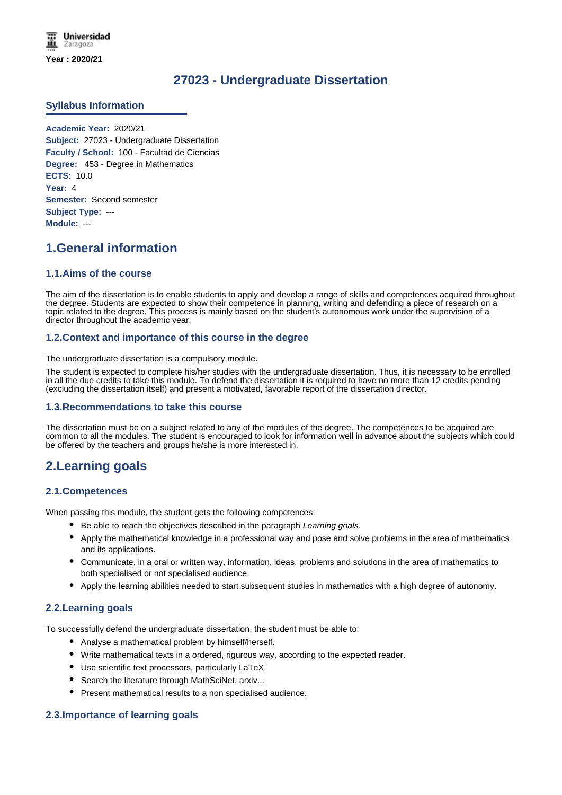**Universidad** Zaragoza **Year : 2020/21**

# **27023 - Undergraduate Dissertation**

## **Syllabus Information**

**Academic Year:** 2020/21 **Subject:** 27023 - Undergraduate Dissertation **Faculty / School:** 100 - Facultad de Ciencias **Degree:** 453 - Degree in Mathematics **ECTS:** 10.0 **Year:** 4 **Semester:** Second semester **Subject Type:** --- **Module:** ---

# **1.General information**

## **1.1.Aims of the course**

The aim of the dissertation is to enable students to apply and develop a range of skills and competences acquired throughout the degree. Students are expected to show their competence in planning, writing and defending a piece of research on a topic related to the degree. This process is mainly based on the student's autonomous work under the supervision of a director throughout the academic year.

## **1.2.Context and importance of this course in the degree**

The undergraduate dissertation is a compulsory module.

The student is expected to complete his/her studies with the undergraduate dissertation. Thus, it is necessary to be enrolled in all the due credits to take this module. To defend the dissertation it is required to have no more than 12 credits pending (excluding the dissertation itself) and present a motivated, favorable report of the dissertation director.

## **1.3.Recommendations to take this course**

The dissertation must be on a subject related to any of the modules of the degree. The competences to be acquired are common to all the modules. The student is encouraged to look for information well in advance about the subjects which could be offered by the teachers and groups he/she is more interested in.

## **2.Learning goals**

## **2.1.Competences**

When passing this module, the student gets the following competences:

- Be able to reach the objectives described in the paragraph *Learning goals*.
- Apply the mathematical knowledge in a professional way and pose and solve problems in the area of mathematics and its applications.
- Communicate, in a oral or written way, information, ideas, problems and solutions in the area of mathematics to both specialised or not specialised audience.
- Apply the learning abilities needed to start subsequent studies in mathematics with a high degree of autonomy.

## **2.2.Learning goals**

To successfully defend the undergraduate dissertation, the student must be able to:

- Analyse a mathematical problem by himself/herself.
- Write mathematical texts in a ordered, rigurous way, according to the expected reader.
- Use scientific text processors, particularly LaTeX.
- Search the literature through MathSciNet, arxiv...
- Present mathematical results to a non specialised audience.

## **2.3.Importance of learning goals**